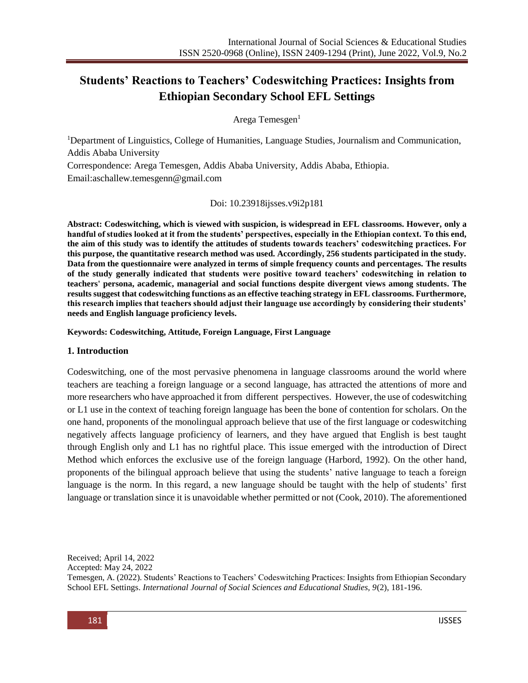# **Students' Reactions to Teachers' Codeswitching Practices: Insights from Ethiopian Secondary School EFL Settings**

Arega Temesgen<sup>1</sup>

<sup>1</sup>Department of Linguistics, College of Humanities, Language Studies, Journalism and Communication, Addis Ababa University

Correspondence: Arega Temesgen, Addis Ababa University, Addis Ababa, Ethiopia. Email:aschallew.temesgenn@gmail.com

Doi: 10.23918ijsses.v9i2p181

**Abstract: Codeswitching, which is viewed with suspicion, is widespread in EFL classrooms. However, only a handful of studies looked at it from the students' perspectives, especially in the Ethiopian context. To this end, the aim of this study was to identify the attitudes of students towards teachers' codeswitching practices. For this purpose, the quantitative research method was used. Accordingly, 256 students participated in the study. Data from the questionnaire were analyzed in terms of simple frequency counts and percentages. The results of the study generally indicated that students were positive toward teachers' codeswitching in relation to teachers' persona, academic, managerial and social functions despite divergent views among students. The results suggest that codeswitching functions as an effective teaching strategy in EFL classrooms. Furthermore, this research implies that teachers should adjust their language use accordingly by considering their students' needs and English language proficiency levels.**

**Keywords: Codeswitching, Attitude, Foreign Language, First Language**

#### **1. Introduction**

Codeswitching, one of the most pervasive phenomena in language classrooms around the world where teachers are teaching a foreign language or a second language, has attracted the attentions of more and more researchers who have approached it from different perspectives. However, the use of codeswitching or L1 use in the context of teaching foreign language has been the bone of contention for scholars. On the one hand, proponents of the monolingual approach believe that use of the first language or codeswitching negatively affects language proficiency of learners, and they have argued that English is best taught through English only and L1 has no rightful place. This issue emerged with the introduction of Direct Method which enforces the exclusive use of the foreign language (Harbord, 1992). On the other hand, proponents of the bilingual approach believe that using the students' native language to teach a foreign language is the norm. In this regard, a new language should be taught with the help of students' first language or translation since it is unavoidable whether permitted or not (Cook, 2010). The aforementioned

Received; April 14, 2022

Accepted: May 24, 2022

Temesgen, A. (2022). Students' Reactions to Teachers' Codeswitching Practices: Insights from Ethiopian Secondary School EFL Settings. *International Journal of Social Sciences and Educational Studies, 9*(2), 181-196.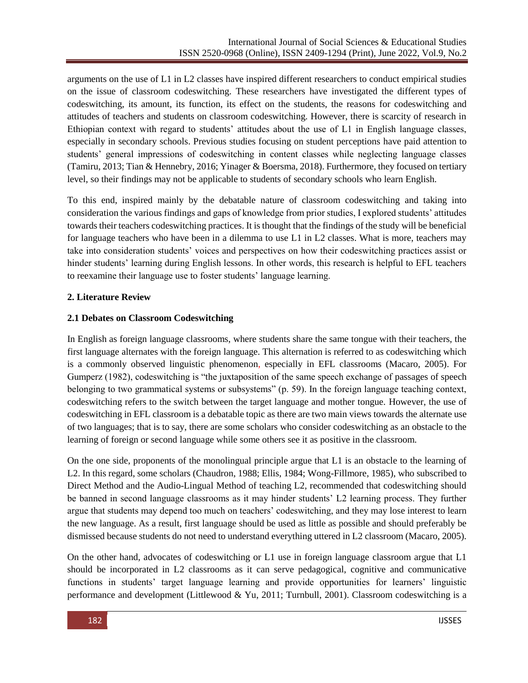arguments on the use of L1 in L2 classes have inspired different researchers to conduct empirical studies on the issue of classroom codeswitching. These researchers have investigated the different types of codeswitching, its amount, its function, its effect on the students, the reasons for codeswitching and attitudes of teachers and students on classroom codeswitching. However, there is scarcity of research in Ethiopian context with regard to students' attitudes about the use of L1 in English language classes, especially in secondary schools. Previous studies focusing on student perceptions have paid attention to students' general impressions of codeswitching in content classes while neglecting language classes (Tamiru, 2013; Tian & Hennebry, 2016; Yinager & Boersma, 2018). Furthermore, they focused on tertiary level, so their findings may not be applicable to students of secondary schools who learn English.

To this end, inspired mainly by the debatable nature of classroom codeswitching and taking into consideration the various findings and gaps of knowledge from prior studies, I explored students' attitudes towards their teachers codeswitching practices. It is thought that the findings of the study will be beneficial for language teachers who have been in a dilemma to use L1 in L2 classes. What is more, teachers may take into consideration students' voices and perspectives on how their codeswitching practices assist or hinder students' learning during English lessons. In other words, this research is helpful to EFL teachers to reexamine their language use to foster students' language learning.

# **2. Literature Review**

# **2.1 Debates on Classroom Codeswitching**

In English as foreign language classrooms, where students share the same tongue with their teachers, the first language alternates with the foreign language. This alternation is referred to as codeswitching which is a commonly observed linguistic phenomenon, especially in EFL classrooms (Macaro, 2005). For Gumperz (1982), codeswitching is "the juxtaposition of the same speech exchange of passages of speech belonging to two grammatical systems or subsystems" (p. 59). In the foreign language teaching context, codeswitching refers to the switch between the target language and mother tongue. However, the use of codeswitching in EFL classroom is a debatable topic as there are two main views towards the alternate use of two languages; that is to say, there are some scholars who consider codeswitching as an obstacle to the learning of foreign or second language while some others see it as positive in the classroom.

On the one side, proponents of the monolingual principle argue that L1 is an obstacle to the learning of L2. In this regard, some scholars (Chaudron, 1988; Ellis, 1984; Wong-Fillmore, 1985), who subscribed to Direct Method and the Audio-Lingual Method of teaching L2, recommended that codeswitching should be banned in second language classrooms as it may hinder students' L2 learning process. They further argue that students may depend too much on teachers' codeswitching, and they may lose interest to learn the new language. As a result, first language should be used as little as possible and should preferably be dismissed because students do not need to understand everything uttered in L2 classroom (Macaro, 2005).

On the other hand, advocates of codeswitching or L1 use in foreign language classroom argue that L1 should be incorporated in L2 classrooms as it can serve pedagogical, cognitive and communicative functions in students' target language learning and provide opportunities for learners' linguistic performance and development (Littlewood & Yu, 2011; Turnbull, 2001). Classroom codeswitching is a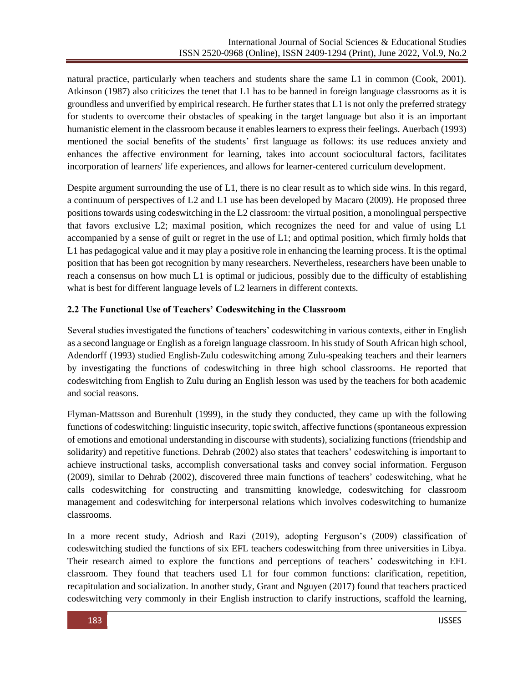natural practice, particularly when teachers and students share the same L1 in common (Cook, 2001). Atkinson (1987) also criticizes the tenet that L1 has to be banned in foreign language classrooms as it is groundless and unverified by empirical research. He further states that L1 is not only the preferred strategy for students to overcome their obstacles of speaking in the target language but also it is an important humanistic element in the classroom because it enables learners to express their feelings. Auerbach (1993) mentioned the social benefits of the students' first language as follows: its use reduces anxiety and enhances the affective environment for learning, takes into account sociocultural factors, facilitates incorporation of learners' life experiences, and allows for learner-centered curriculum development.

Despite argument surrounding the use of L1, there is no clear result as to which side wins. In this regard, a continuum of perspectives of L2 and L1 use has been developed by Macaro (2009). He proposed three positions towards using codeswitching in the L2 classroom: the virtual position, a monolingual perspective that favors exclusive L2; maximal position, which recognizes the need for and value of using L1 accompanied by a sense of guilt or regret in the use of L1; and optimal position, which firmly holds that L1 has pedagogical value and it may play a positive role in enhancing the learning process. It is the optimal position that has been got recognition by many researchers. Nevertheless, researchers have been unable to reach a consensus on how much L1 is optimal or judicious, possibly due to the difficulty of establishing what is best for different language levels of L2 learners in different contexts.

# **2.2 The Functional Use of Teachers' Codeswitching in the Classroom**

Several studies investigated the functions of teachers' codeswitching in various contexts, either in English as a second language or English as a foreign language classroom. In his study of South African high school, Adendorff (1993) studied English-Zulu codeswitching among Zulu-speaking teachers and their learners by investigating the functions of codeswitching in three high school classrooms. He reported that codeswitching from English to Zulu during an English lesson was used by the teachers for both academic and social reasons.

Flyman-Mattsson and Burenhult (1999), in the study they conducted, they came up with the following functions of codeswitching: linguistic insecurity, topic switch, affective functions (spontaneous expression of emotions and emotional understanding in discourse with students), socializing functions (friendship and solidarity) and repetitive functions. Dehrab (2002) also states that teachers' codeswitching is important to achieve instructional tasks, accomplish conversational tasks and convey social information. Ferguson (2009), similar to Dehrab (2002), discovered three main functions of teachers' codeswitching, what he calls codeswitching for constructing and transmitting knowledge, codeswitching for classroom management and codeswitching for interpersonal relations which involves codeswitching to humanize classrooms.

In a more recent study, Adriosh and Razi (2019), adopting Ferguson's (2009) classification of codeswitching studied the functions of six EFL teachers codeswitching from three universities in Libya. Their research aimed to explore the functions and perceptions of teachers' codeswitching in EFL classroom. They found that teachers used L1 for four common functions: clarification, repetition, recapitulation and socialization. In another study, Grant and Nguyen (2017) found that teachers practiced codeswitching very commonly in their English instruction to clarify instructions, scaffold the learning,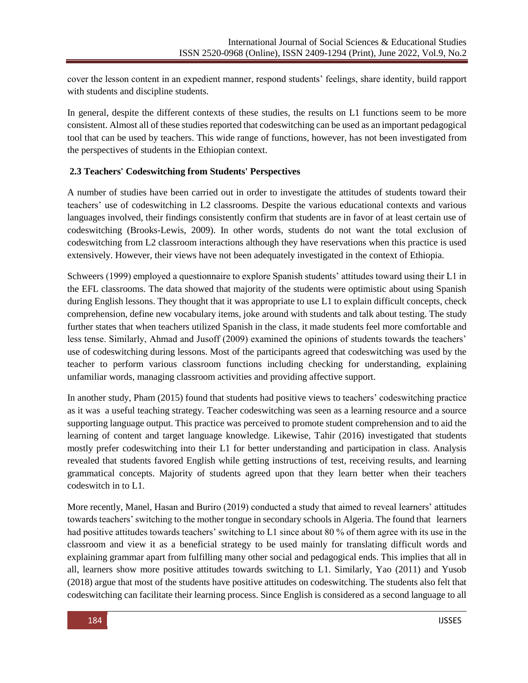cover the lesson content in an expedient manner, respond students' feelings, share identity, build rapport with students and discipline students.

In general, despite the different contexts of these studies, the results on L1 functions seem to be more consistent. Almost all of these studies reported that codeswitching can be used as an important pedagogical tool that can be used by teachers. This wide range of functions, however, has not been investigated from the perspectives of students in the Ethiopian context.

## **2.3 Teachers' Codeswitching from Students' Perspectives**

A number of studies have been carried out in order to investigate the attitudes of students toward their teachers' use of codeswitching in L2 classrooms. Despite the various educational contexts and various languages involved, their findings consistently confirm that students are in favor of at least certain use of codeswitching (Brooks-Lewis, 2009). In other words, students do not want the total exclusion of codeswitching from L2 classroom interactions although they have reservations when this practice is used extensively. However, their views have not been adequately investigated in the context of Ethiopia.

Schweers (1999) employed a questionnaire to explore Spanish students' attitudes toward using their L1 in the EFL classrooms. The data showed that majority of the students were optimistic about using Spanish during English lessons. They thought that it was appropriate to use L1 to explain difficult concepts, check comprehension, define new vocabulary items, joke around with students and talk about testing. The study further states that when teachers utilized Spanish in the class, it made students feel more comfortable and less tense. Similarly, Ahmad and Jusoff (2009) examined the opinions of students towards the teachers' use of codeswitching during lessons. Most of the participants agreed that codeswitching was used by the teacher to perform various classroom functions including checking for understanding, explaining unfamiliar words, managing classroom activities and providing affective support.

In another study, Pham (2015) found that students had positive views to teachers' codeswitching practice as it was a useful teaching strategy. Teacher codeswitching was seen as a learning resource and a source supporting language output. This practice was perceived to promote student comprehension and to aid the learning of content and target language knowledge. Likewise, Tahir (2016) investigated that students mostly prefer codeswitching into their L1 for better understanding and participation in class. Analysis revealed that students favored English while getting instructions of test, receiving results, and learning grammatical concepts. Majority of students agreed upon that they learn better when their teachers codeswitch in to L1.

More recently, Manel, Hasan and Buriro (2019) conducted a study that aimed to reveal learners' attitudes towards teachers' switching to the mother tongue in secondary schools in Algeria. The found that learners had positive attitudes towards teachers' switching to L1 since about 80 % of them agree with its use in the classroom and view it as a beneficial strategy to be used mainly for translating difficult words and explaining grammar apart from fulfilling many other social and pedagogical ends. This implies that all in all, learners show more positive attitudes towards switching to L1. Similarly, Yao (2011) and Yusob (2018) argue that most of the students have positive attitudes on codeswitching. The students also felt that codeswitching can facilitate their learning process. Since English is considered as a second language to all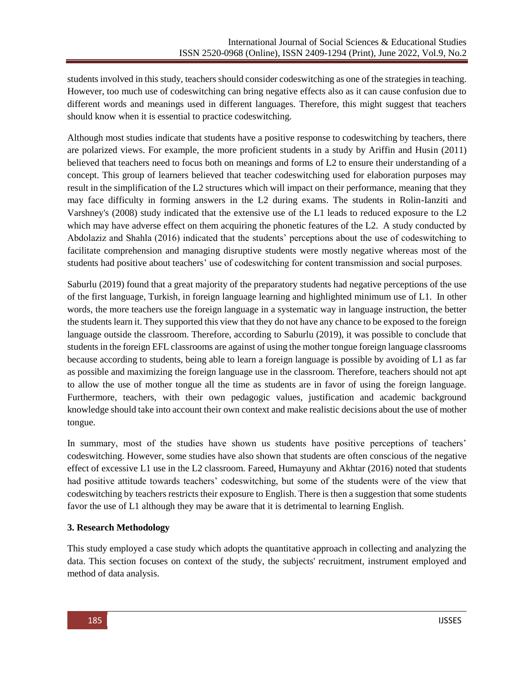students involved in this study, teachers should consider codeswitching as one of the strategies in teaching. However, too much use of codeswitching can bring negative effects also as it can cause confusion due to different words and meanings used in different languages. Therefore, this might suggest that teachers should know when it is essential to practice codeswitching.

Although most studies indicate that students have a positive response to codeswitching by teachers, there are polarized views. For example, the more proficient students in a study by Ariffin and Husin (2011) believed that teachers need to focus both on meanings and forms of L2 to ensure their understanding of a concept. This group of learners believed that teacher codeswitching used for elaboration purposes may result in the simplification of the L2 structures which will impact on their performance, meaning that they may face difficulty in forming answers in the L2 during exams. The students in Rolin-Ianziti and Varshney's (2008) study indicated that the extensive use of the L1 leads to reduced exposure to the L2 which may have adverse effect on them acquiring the phonetic features of the L2. A study conducted by Abdolaziz and Shahla (2016) indicated that the students' perceptions about the use of codeswitching to facilitate comprehension and managing disruptive students were mostly negative whereas most of the students had positive about teachers' use of codeswitching for content transmission and social purposes.

Saburlu (2019) found that a great majority of the preparatory students had negative perceptions of the use of the first language, Turkish, in foreign language learning and highlighted minimum use of L1. In other words, the more teachers use the foreign language in a systematic way in language instruction, the better the students learn it. They supported this view that they do not have any chance to be exposed to the foreign language outside the classroom. Therefore, according to Saburlu (2019), it was possible to conclude that students in the foreign EFL classrooms are against of using the mother tongue foreign language classrooms because according to students, being able to learn a foreign language is possible by avoiding of L1 as far as possible and maximizing the foreign language use in the classroom. Therefore, teachers should not apt to allow the use of mother tongue all the time as students are in favor of using the foreign language. Furthermore, teachers, with their own pedagogic values, justification and academic background knowledge should take into account their own context and make realistic decisions about the use of mother tongue.

In summary, most of the studies have shown us students have positive perceptions of teachers' codeswitching. However, some studies have also shown that students are often conscious of the negative effect of excessive L1 use in the L2 classroom. Fareed, Humayuny and Akhtar (2016) noted that students had positive attitude towards teachers' codeswitching, but some of the students were of the view that codeswitching by teachers restricts their exposure to English. There is then a suggestion that some students favor the use of L1 although they may be aware that it is detrimental to learning English.

# **3. Research Methodology**

This study employed a case study which adopts the quantitative approach in collecting and analyzing the data. This section focuses on context of the study, the subjects' recruitment, instrument employed and method of data analysis.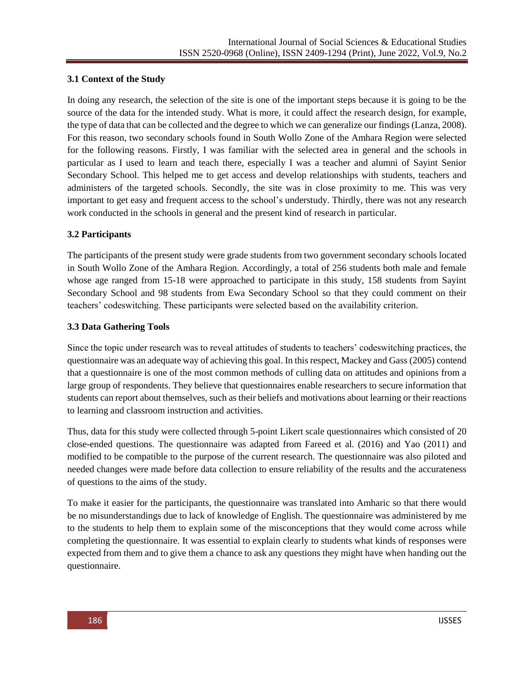## **3.1 Context of the Study**

In doing any research, the selection of the site is one of the important steps because it is going to be the source of the data for the intended study. What is more, it could affect the research design, for example, the type of data that can be collected and the degree to which we can generalize our findings (Lanza, 2008). For this reason, two secondary schools found in South Wollo Zone of the Amhara Region were selected for the following reasons. Firstly, I was familiar with the selected area in general and the schools in particular as I used to learn and teach there, especially I was a teacher and alumni of Sayint Senior Secondary School. This helped me to get access and develop relationships with students, teachers and administers of the targeted schools. Secondly, the site was in close proximity to me. This was very important to get easy and frequent access to the school's understudy. Thirdly, there was not any research work conducted in the schools in general and the present kind of research in particular.

## **3.2 Participants**

The participants of the present study were grade students from two government secondary schools located in South Wollo Zone of the Amhara Region. Accordingly, a total of 256 students both male and female whose age ranged from 15-18 were approached to participate in this study, 158 students from Sayint Secondary School and 98 students from Ewa Secondary School so that they could comment on their teachers' codeswitching. These participants were selected based on the availability criterion.

## **3.3 Data Gathering Tools**

Since the topic under research was to reveal attitudes of students to teachers' codeswitching practices, the questionnaire was an adequate way of achieving this goal. In this respect, Mackey and Gass (2005) contend that a questionnaire is one of the most common methods of culling data on attitudes and opinions from a large group of respondents. They believe that questionnaires enable researchers to secure information that students can report about themselves, such as their beliefs and motivations about learning or their reactions to learning and classroom instruction and activities.

Thus, data for this study were collected through 5-point Likert scale questionnaires which consisted of 20 close-ended questions. The questionnaire was adapted from Fareed et al. (2016) and Yao (2011) and modified to be compatible to the purpose of the current research. The questionnaire was also piloted and needed changes were made before data collection to ensure reliability of the results and the accurateness of questions to the aims of the study.

To make it easier for the participants, the questionnaire was translated into Amharic so that there would be no misunderstandings due to lack of knowledge of English. The questionnaire was administered by me to the students to help them to explain some of the misconceptions that they would come across while completing the questionnaire. It was essential to explain clearly to students what kinds of responses were expected from them and to give them a chance to ask any questions they might have when handing out the questionnaire.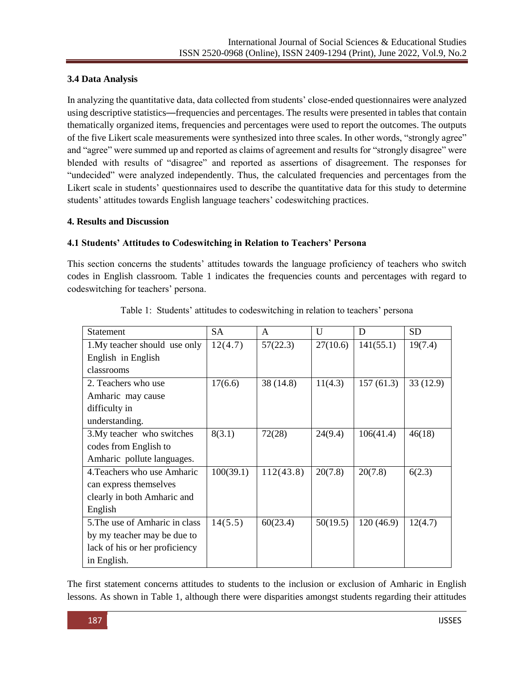# **3.4 Data Analysis**

In analyzing the quantitative data, data collected from students' close-ended questionnaires were analyzed using descriptive statistics—frequencies and percentages. The results were presented in tables that contain thematically organized items, frequencies and percentages were used to report the outcomes. The outputs of the five Likert scale measurements were synthesized into three scales. In other words, "strongly agree" and "agree" were summed up and reported as claims of agreement and results for "strongly disagree" were blended with results of "disagree" and reported as assertions of disagreement. The responses for "undecided" were analyzed independently. Thus, the calculated frequencies and percentages from the Likert scale in students' questionnaires used to describe the quantitative data for this study to determine students' attitudes towards English language teachers' codeswitching practices.

#### **4. Results and Discussion**

## **4.1 Students' Attitudes to Codeswitching in Relation to Teachers' Persona**

This section concerns the students' attitudes towards the language proficiency of teachers who switch codes in English classroom. Table 1 indicates the frequencies counts and percentages with regard to codeswitching for teachers' persona.

| <b>Statement</b>               | <b>SA</b> | A         | U        | D         | <b>SD</b> |
|--------------------------------|-----------|-----------|----------|-----------|-----------|
| 1. My teacher should use only  | 12(4.7)   | 57(22.3)  | 27(10.6) | 141(55.1) | 19(7.4)   |
| English in English             |           |           |          |           |           |
| classrooms                     |           |           |          |           |           |
| 2. Teachers who use            | 17(6.6)   | 38 (14.8) | 11(4.3)  | 157(61.3) | 33(12.9)  |
| Amharic may cause              |           |           |          |           |           |
| difficulty in                  |           |           |          |           |           |
| understanding.                 |           |           |          |           |           |
| 3. My teacher who switches     | 8(3.1)    | 72(28)    | 24(9.4)  | 106(41.4) | 46(18)    |
| codes from English to          |           |           |          |           |           |
| Amharic pollute languages.     |           |           |          |           |           |
| 4. Teachers who use Amharic    | 100(39.1) | 112(43.8) | 20(7.8)  | 20(7.8)   | 6(2.3)    |
| can express themselves         |           |           |          |           |           |
| clearly in both Amharic and    |           |           |          |           |           |
| English                        |           |           |          |           |           |
| 5. The use of Amharic in class | 14(5.5)   | 60(23.4)  | 50(19.5) | 120(46.9) | 12(4.7)   |
| by my teacher may be due to    |           |           |          |           |           |
| lack of his or her proficiency |           |           |          |           |           |
| in English.                    |           |           |          |           |           |

|  | Table 1: Students' attitudes to codeswitching in relation to teachers' persona |  |  |
|--|--------------------------------------------------------------------------------|--|--|
|  |                                                                                |  |  |

The first statement concerns attitudes to students to the inclusion or exclusion of Amharic in English lessons. As shown in Table 1, although there were disparities amongst students regarding their attitudes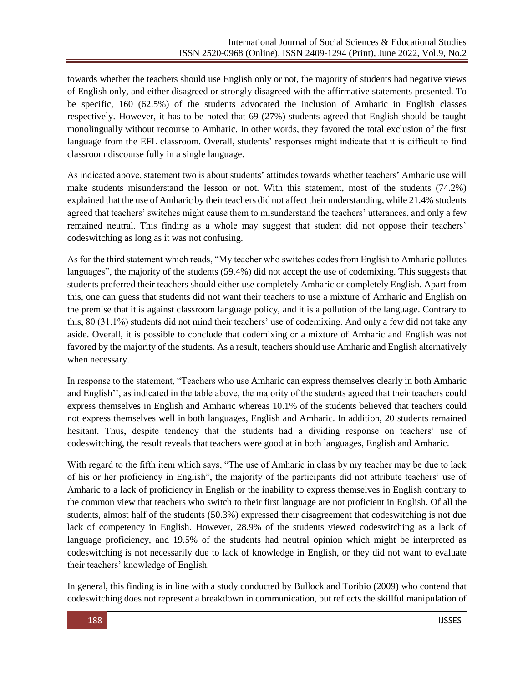towards whether the teachers should use English only or not, the majority of students had negative views of English only, and either disagreed or strongly disagreed with the affirmative statements presented. To be specific, 160 (62.5%) of the students advocated the inclusion of Amharic in English classes respectively. However, it has to be noted that 69 (27%) students agreed that English should be taught monolingually without recourse to Amharic. In other words, they favored the total exclusion of the first language from the EFL classroom. Overall, students' responses might indicate that it is difficult to find classroom discourse fully in a single language.

As indicated above, statement two is about students' attitudes towards whether teachers' Amharic use will make students misunderstand the lesson or not. With this statement, most of the students (74.2%) explained that the use of Amharic by their teachers did not affect their understanding, while 21.4% students agreed that teachers' switches might cause them to misunderstand the teachers' utterances, and only a few remained neutral. This finding as a whole may suggest that student did not oppose their teachers' codeswitching as long as it was not confusing.

As for the third statement which reads, "My teacher who switches codes from English to Amharic pollutes languages", the majority of the students (59.4%) did not accept the use of codemixing. This suggests that students preferred their teachers should either use completely Amharic or completely English. Apart from this, one can guess that students did not want their teachers to use a mixture of Amharic and English on the premise that it is against classroom language policy, and it is a pollution of the language. Contrary to this, 80 (31.1%) students did not mind their teachers' use of codemixing. And only a few did not take any aside. Overall, it is possible to conclude that codemixing or a mixture of Amharic and English was not favored by the majority of the students. As a result, teachers should use Amharic and English alternatively when necessary.

In response to the statement, "Teachers who use Amharic can express themselves clearly in both Amharic and English'', as indicated in the table above, the majority of the students agreed that their teachers could express themselves in English and Amharic whereas 10.1% of the students believed that teachers could not express themselves well in both languages, English and Amharic. In addition, 20 students remained hesitant. Thus, despite tendency that the students had a dividing response on teachers' use of codeswitching, the result reveals that teachers were good at in both languages, English and Amharic.

With regard to the fifth item which says, "The use of Amharic in class by my teacher may be due to lack of his or her proficiency in English", the majority of the participants did not attribute teachers' use of Amharic to a lack of proficiency in English or the inability to express themselves in English contrary to the common view that teachers who switch to their first language are not proficient in English. Of all the students, almost half of the students (50.3%) expressed their disagreement that codeswitching is not due lack of competency in English. However, 28.9% of the students viewed codeswitching as a lack of language proficiency, and 19.5% of the students had neutral opinion which might be interpreted as codeswitching is not necessarily due to lack of knowledge in English, or they did not want to evaluate their teachers' knowledge of English.

In general, this finding is in line with a study conducted by Bullock and Toribio (2009) who contend that codeswitching does not represent a breakdown in communication, but reflects the skillful manipulation of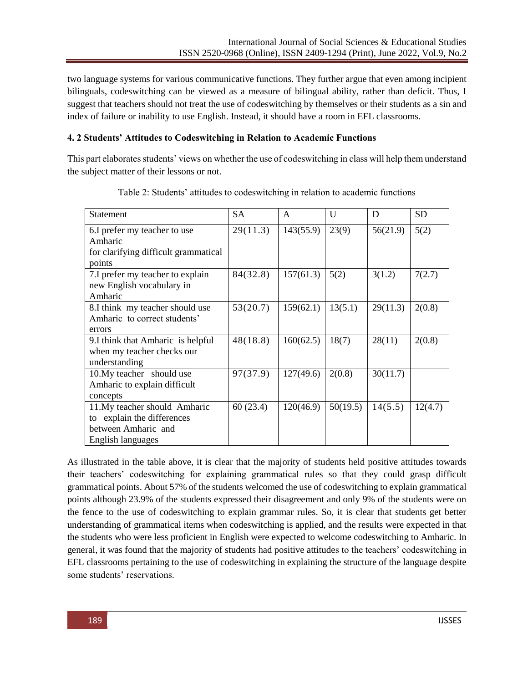two language systems for various communicative functions. They further argue that even among incipient bilinguals, codeswitching can be viewed as a measure of bilingual ability, rather than deficit. Thus, I suggest that teachers should not treat the use of codeswitching by themselves or their students as a sin and index of failure or inability to use English. Instead, it should have a room in EFL classrooms.

## **4. 2 Students' Attitudes to Codeswitching in Relation to Academic Functions**

This part elaborates students' views on whether the use of codeswitching in class will help them understand the subject matter of their lessons or not.

| <b>Statement</b>                     | <b>SA</b> | A         | $\mathbf{U}$ | D        | <b>SD</b> |
|--------------------------------------|-----------|-----------|--------------|----------|-----------|
| 6.I prefer my teacher to use         | 29(11.3)  | 143(55.9) | 23(9)        | 56(21.9) | 5(2)      |
| Amharic                              |           |           |              |          |           |
| for clarifying difficult grammatical |           |           |              |          |           |
| points                               |           |           |              |          |           |
| 7.I prefer my teacher to explain     | 84(32.8)  | 157(61.3) | 5(2)         | 3(1.2)   | 7(2.7)    |
| new English vocabulary in            |           |           |              |          |           |
| Amharic                              |           |           |              |          |           |
| 8.I think my teacher should use      | 53(20.7)  | 159(62.1) | 13(5.1)      | 29(11.3) | 2(0.8)    |
| Amharic to correct students'         |           |           |              |          |           |
| errors                               |           |           |              |          |           |
| 9.I think that Amharic is helpful    | 48(18.8)  | 160(62.5) | 18(7)        | 28(11)   | 2(0.8)    |
| when my teacher checks our           |           |           |              |          |           |
| understanding                        |           |           |              |          |           |
| 10.My teacher should use             | 97(37.9)  | 127(49.6) | 2(0.8)       | 30(11.7) |           |
| Amharic to explain difficult         |           |           |              |          |           |
| concepts                             |           |           |              |          |           |
| 11. My teacher should Amharic        | 60(23.4)  | 120(46.9) | 50(19.5)     | 14(5.5)  | 12(4.7)   |
| to explain the differences           |           |           |              |          |           |
| between Amharic and                  |           |           |              |          |           |
| English languages                    |           |           |              |          |           |

Table 2: Students' attitudes to codeswitching in relation to academic functions

As illustrated in the table above, it is clear that the majority of students held positive attitudes towards their teachers' codeswitching for explaining grammatical rules so that they could grasp difficult grammatical points. About 57% of the students welcomed the use of codeswitching to explain grammatical points although 23.9% of the students expressed their disagreement and only 9% of the students were on the fence to the use of codeswitching to explain grammar rules. So, it is clear that students get better understanding of grammatical items when codeswitching is applied, and the results were expected in that the students who were less proficient in English were expected to welcome codeswitching to Amharic. In general, it was found that the majority of students had positive attitudes to the teachers' codeswitching in EFL classrooms pertaining to the use of codeswitching in explaining the structure of the language despite some students' reservations.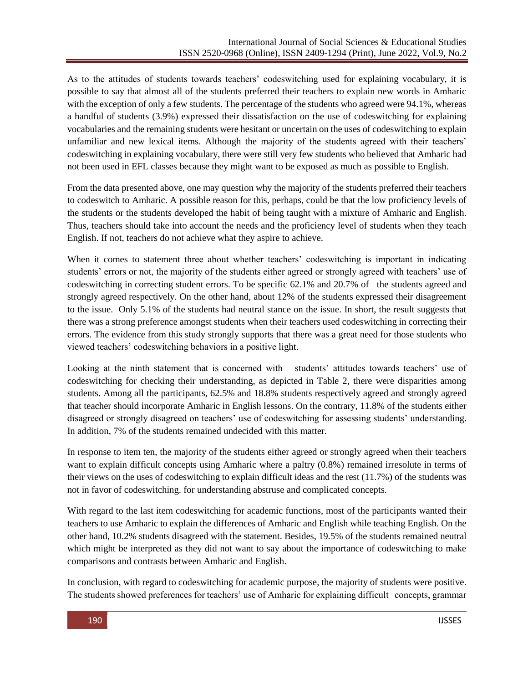As to the attitudes of students towards teachers' codeswitching used for explaining vocabulary, it is possible to say that almost all of the students preferred their teachers to explain new words in Amharic with the exception of only a few students. The percentage of the students who agreed were 94.1%, whereas a handful of students (3.9%) expressed their dissatisfaction on the use of codeswitching for explaining vocabularies and the remaining students were hesitant or uncertain on the uses of codeswitching to explain unfamiliar and new lexical items. Although the majority of the students agreed with their teachers' codeswitching in explaining vocabulary, there were still very few students who believed that Amharic had not been used in EFL classes because they might want to be exposed as much as possible to English.

From the data presented above, one may question why the majority of the students preferred their teachers to codeswitch to Amharic. A possible reason for this, perhaps, could be that the low proficiency levels of the students or the students developed the habit of being taught with a mixture of Amharic and English. Thus, teachers should take into account the needs and the proficiency level of students when they teach English. If not, teachers do not achieve what they aspire to achieve.

When it comes to statement three about whether teachers' codeswitching is important in indicating students' errors or not, the majority of the students either agreed or strongly agreed with teachers' use of codeswitching in correcting student errors. To be specific 62.1% and 20.7% of the students agreed and strongly agreed respectively. On the other hand, about 12% of the students expressed their disagreement to the issue. Only 5.1% of the students had neutral stance on the issue. In short, the result suggests that there was a strong preference amongst students when their teachers used codeswitching in correcting their errors. The evidence from this study strongly supports that there was a great need for those students who viewed teachers' codeswitching behaviors in a positive light.

Looking at the ninth statement that is concerned with students' attitudes towards teachers' use of codeswitching for checking their understanding, as depicted in Table 2, there were disparities among students. Among all the participants, 62.5% and 18.8% students respectively agreed and strongly agreed that teacher should incorporate Amharic in English lessons. On the contrary, 11.8% of the students either disagreed or strongly disagreed on teachers' use of codeswitching for assessing students' understanding. In addition, 7% of the students remained undecided with this matter.

In response to item ten, the majority of the students either agreed or strongly agreed when their teachers want to explain difficult concepts using Amharic where a paltry (0.8%) remained irresolute in terms of their views on the uses of codeswitching to explain difficult ideas and the rest (11.7%) of the students was not in favor of codeswitching. for understanding abstruse and complicated concepts.

With regard to the last item codeswitching for academic functions, most of the participants wanted their teachers to use Amharic to explain the differences of Amharic and English while teaching English. On the other hand, 10.2% students disagreed with the statement. Besides, 19.5% of the students remained neutral which might be interpreted as they did not want to say about the importance of codeswitching to make comparisons and contrasts between Amharic and English.

In conclusion, with regard to codeswitching for academic purpose, the majority of students were positive. The students showed preferences for teachers' use of Amharic for explaining difficult concepts, grammar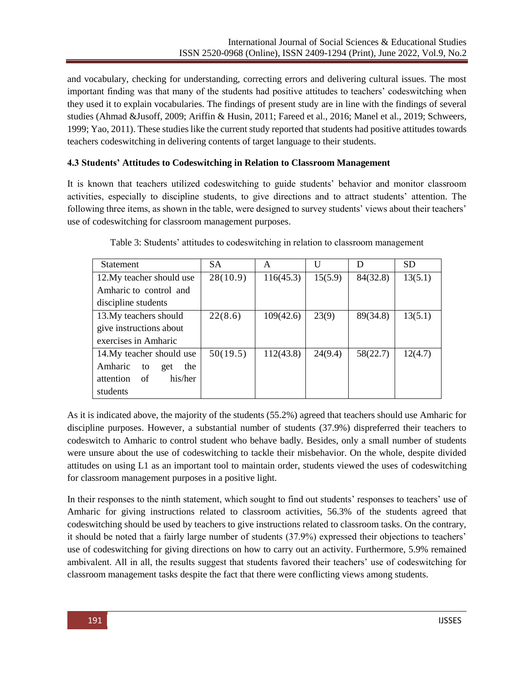and vocabulary, checking for understanding, correcting errors and delivering cultural issues. The most important finding was that many of the students had positive attitudes to teachers' codeswitching when they used it to explain vocabularies. The findings of present study are in line with the findings of several studies (Ahmad &Jusoff, 2009; Ariffin & Husin, 2011; Fareed et al., 2016; Manel et al., 2019; Schweers, 1999; Yao, 2011). These studies like the current study reported that students had positive attitudes towards teachers codeswitching in delivering contents of target language to their students.

#### **4.3 Students' Attitudes to Codeswitching in Relation to Classroom Management**

It is known that teachers utilized codeswitching to guide students' behavior and monitor classroom activities, especially to discipline students, to give directions and to attract students' attention. The following three items, as shown in the table, were designed to survey students' views about their teachers' use of codeswitching for classroom management purposes.

| <b>Statement</b>            | <b>SA</b> | A         | U       | D        | <b>SD</b> |
|-----------------------------|-----------|-----------|---------|----------|-----------|
| 12. My teacher should use   | 28(10.9)  | 116(45.3) | 15(5.9) | 84(32.8) | 13(5.1)   |
| Amharic to control and      |           |           |         |          |           |
| discipline students         |           |           |         |          |           |
| 13. My teachers should      | 22(8.6)   | 109(42.6) | 23(9)   | 89(34.8) | 13(5.1)   |
| give instructions about     |           |           |         |          |           |
| exercises in Amharic        |           |           |         |          |           |
| 14. My teacher should use   | 50(19.5)  | 112(43.8) | 24(9.4) | 58(22.7) | 12(4.7)   |
| Amharic<br>the<br>to<br>get |           |           |         |          |           |
| attention of<br>his/her     |           |           |         |          |           |
| students                    |           |           |         |          |           |

| Table 3: Students' attitudes to codeswitching in relation to classroom management |  |  |  |
|-----------------------------------------------------------------------------------|--|--|--|
|                                                                                   |  |  |  |

As it is indicated above, the majority of the students (55.2%) agreed that teachers should use Amharic for discipline purposes. However, a substantial number of students (37.9%) dispreferred their teachers to codeswitch to Amharic to control student who behave badly. Besides, only a small number of students were unsure about the use of codeswitching to tackle their misbehavior. On the whole, despite divided attitudes on using L1 as an important tool to maintain order, students viewed the uses of codeswitching for classroom management purposes in a positive light.

In their responses to the ninth statement, which sought to find out students' responses to teachers' use of Amharic for giving instructions related to classroom activities, 56.3% of the students agreed that codeswitching should be used by teachers to give instructions related to classroom tasks. On the contrary, it should be noted that a fairly large number of students (37.9%) expressed their objections to teachers' use of codeswitching for giving directions on how to carry out an activity. Furthermore, 5.9% remained ambivalent. All in all, the results suggest that students favored their teachers' use of codeswitching for classroom management tasks despite the fact that there were conflicting views among students.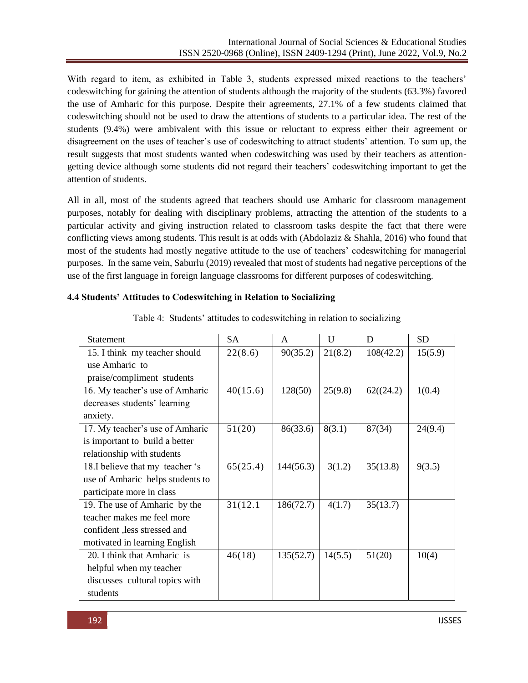With regard to item, as exhibited in Table 3, students expressed mixed reactions to the teachers' codeswitching for gaining the attention of students although the majority of the students (63.3%) favored the use of Amharic for this purpose. Despite their agreements, 27.1% of a few students claimed that codeswitching should not be used to draw the attentions of students to a particular idea. The rest of the students (9.4%) were ambivalent with this issue or reluctant to express either their agreement or disagreement on the uses of teacher's use of codeswitching to attract students' attention. To sum up, the result suggests that most students wanted when codeswitching was used by their teachers as attentiongetting device although some students did not regard their teachers' codeswitching important to get the attention of students.

All in all, most of the students agreed that teachers should use Amharic for classroom management purposes, notably for dealing with disciplinary problems, attracting the attention of the students to a particular activity and giving instruction related to classroom tasks despite the fact that there were conflicting views among students. This result is at odds with (Abdolaziz & Shahla, 2016) who found that most of the students had mostly negative attitude to the use of teachers' codeswitching for managerial purposes. In the same vein, Saburlu (2019) revealed that most of students had negative perceptions of the use of the first language in foreign language classrooms for different purposes of codeswitching.

| <b>Statement</b>                 | <b>SA</b> | A         | $\mathbf{U}$ | D         | <b>SD</b> |
|----------------------------------|-----------|-----------|--------------|-----------|-----------|
| 15. I think my teacher should    | 22(8.6)   | 90(35.2)  | 21(8.2)      | 108(42.2) | 15(5.9)   |
| use Amharic to                   |           |           |              |           |           |
| praise/compliment students       |           |           |              |           |           |
| 16. My teacher's use of Amharic  | 40(15.6)  | 128(50)   | 25(9.8)      | 62((24.2) | 1(0.4)    |
| decreases students' learning     |           |           |              |           |           |
| anxiety.                         |           |           |              |           |           |
| 17. My teacher's use of Amharic  | 51(20)    | 86(33.6)  | 8(3.1)       | 87(34)    | 24(9.4)   |
| is important to build a better   |           |           |              |           |           |
| relationship with students       |           |           |              |           |           |
| 18.I believe that my teacher 's  | 65(25.4)  | 144(56.3) | 3(1.2)       | 35(13.8)  | 9(3.5)    |
| use of Amharic helps students to |           |           |              |           |           |
| participate more in class        |           |           |              |           |           |
| 19. The use of Amharic by the    | 31(12.1)  | 186(72.7) | 4(1.7)       | 35(13.7)  |           |
| teacher makes me feel more       |           |           |              |           |           |
| confident, less stressed and     |           |           |              |           |           |
| motivated in learning English    |           |           |              |           |           |
| 20. I think that Amharic is      | 46(18)    | 135(52.7) | 14(5.5)      | 51(20)    | 10(4)     |
| helpful when my teacher          |           |           |              |           |           |
| discusses cultural topics with   |           |           |              |           |           |
| students                         |           |           |              |           |           |

|  | Table 4: Students' attitudes to codeswitching in relation to socializing |  |  |  |
|--|--------------------------------------------------------------------------|--|--|--|

**4.4 Students' Attitudes to Codeswitching in Relation to Socializing**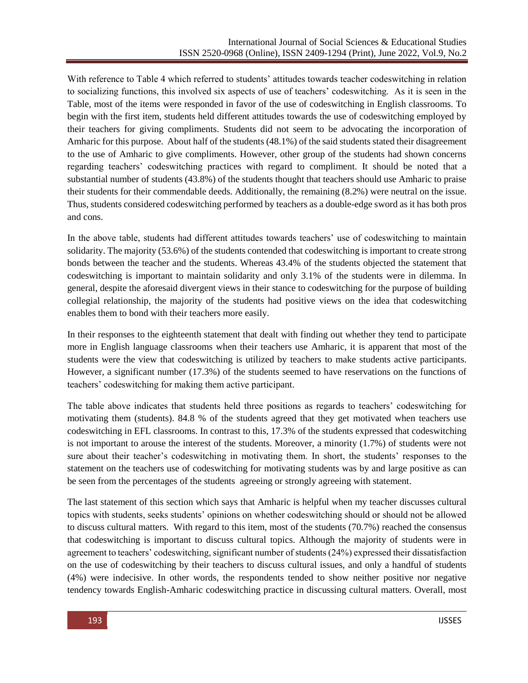With reference to Table 4 which referred to students' attitudes towards teacher codeswitching in relation to socializing functions, this involved six aspects of use of teachers' codeswitching. As it is seen in the Table, most of the items were responded in favor of the use of codeswitching in English classrooms. To begin with the first item, students held different attitudes towards the use of codeswitching employed by their teachers for giving compliments. Students did not seem to be advocating the incorporation of Amharic for this purpose. About half of the students (48.1%) of the said students stated their disagreement to the use of Amharic to give compliments. However, other group of the students had shown concerns regarding teachers' codeswitching practices with regard to compliment. It should be noted that a substantial number of students (43.8%) of the students thought that teachers should use Amharic to praise their students for their commendable deeds. Additionally, the remaining (8.2%) were neutral on the issue. Thus, students considered codeswitching performed by teachers as a double-edge sword as it has both pros and cons.

In the above table, students had different attitudes towards teachers' use of codeswitching to maintain solidarity. The majority (53.6%) of the students contended that codeswitching is important to create strong bonds between the teacher and the students. Whereas 43.4% of the students objected the statement that codeswitching is important to maintain solidarity and only 3.1% of the students were in dilemma. In general, despite the aforesaid divergent views in their stance to codeswitching for the purpose of building collegial relationship, the majority of the students had positive views on the idea that codeswitching enables them to bond with their teachers more easily.

In their responses to the eighteenth statement that dealt with finding out whether they tend to participate more in English language classrooms when their teachers use Amharic, it is apparent that most of the students were the view that codeswitching is utilized by teachers to make students active participants. However, a significant number (17.3%) of the students seemed to have reservations on the functions of teachers' codeswitching for making them active participant.

The table above indicates that students held three positions as regards to teachers' codeswitching for motivating them (students). 84.8 % of the students agreed that they get motivated when teachers use codeswitching in EFL classrooms. In contrast to this, 17.3% of the students expressed that codeswitching is not important to arouse the interest of the students. Moreover, a minority (1.7%) of students were not sure about their teacher's codeswitching in motivating them. In short, the students' responses to the statement on the teachers use of codeswitching for motivating students was by and large positive as can be seen from the percentages of the students agreeing or strongly agreeing with statement.

The last statement of this section which says that Amharic is helpful when my teacher discusses cultural topics with students, seeks students' opinions on whether codeswitching should or should not be allowed to discuss cultural matters. With regard to this item, most of the students (70.7%) reached the consensus that codeswitching is important to discuss cultural topics. Although the majority of students were in agreement to teachers' codeswitching, significant number of students (24%) expressed their dissatisfaction on the use of codeswitching by their teachers to discuss cultural issues, and only a handful of students (4%) were indecisive. In other words, the respondents tended to show neither positive nor negative tendency towards English-Amharic codeswitching practice in discussing cultural matters. Overall, most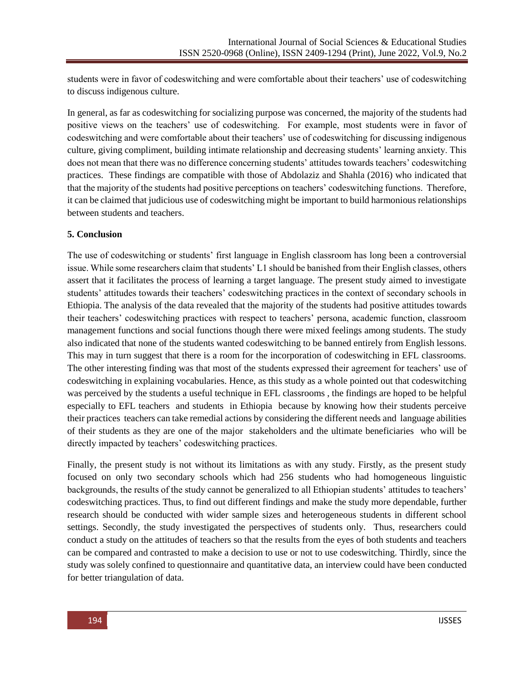students were in favor of codeswitching and were comfortable about their teachers' use of codeswitching to discuss indigenous culture.

In general, as far as codeswitching for socializing purpose was concerned, the majority of the students had positive views on the teachers' use of codeswitching. For example, most students were in favor of codeswitching and were comfortable about their teachers' use of codeswitching for discussing indigenous culture, giving compliment, building intimate relationship and decreasing students' learning anxiety. This does not mean that there was no difference concerning students' attitudes towards teachers' codeswitching practices. These findings are compatible with those of Abdolaziz and Shahla (2016) who indicated that that the majority of the students had positive perceptions on teachers' codeswitching functions. Therefore, it can be claimed that judicious use of codeswitching might be important to build harmonious relationships between students and teachers.

## **5. Conclusion**

The use of codeswitching or students' first language in English classroom has long been a controversial issue. While some researchers claim that students' L1 should be banished from their English classes, others assert that it facilitates the process of learning a target language. The present study aimed to investigate students' attitudes towards their teachers' codeswitching practices in the context of secondary schools in Ethiopia. The analysis of the data revealed that the majority of the students had positive attitudes towards their teachers' codeswitching practices with respect to teachers' persona, academic function, classroom management functions and social functions though there were mixed feelings among students. The study also indicated that none of the students wanted codeswitching to be banned entirely from English lessons. This may in turn suggest that there is a room for the incorporation of codeswitching in EFL classrooms. The other interesting finding was that most of the students expressed their agreement for teachers' use of codeswitching in explaining vocabularies. Hence, as this study as a whole pointed out that codeswitching was perceived by the students a useful technique in EFL classrooms , the findings are hoped to be helpful especially to EFL teachers and students in Ethiopia because by knowing how their students perceive their practices teachers can take remedial actions by considering the different needs and language abilities of their students as they are one of the major stakeholders and the ultimate beneficiaries who will be directly impacted by teachers' codeswitching practices.

Finally, the present study is not without its limitations as with any study. Firstly, as the present study focused on only two secondary schools which had 256 students who had homogeneous linguistic backgrounds, the results of the study cannot be generalized to all Ethiopian students' attitudes to teachers' codeswitching practices. Thus, to find out different findings and make the study more dependable, further research should be conducted with wider sample sizes and heterogeneous students in different school settings. Secondly, the study investigated the perspectives of students only. Thus, researchers could conduct a study on the attitudes of teachers so that the results from the eyes of both students and teachers can be compared and contrasted to make a decision to use or not to use codeswitching. Thirdly, since the study was solely confined to questionnaire and quantitative data, an interview could have been conducted for better triangulation of data.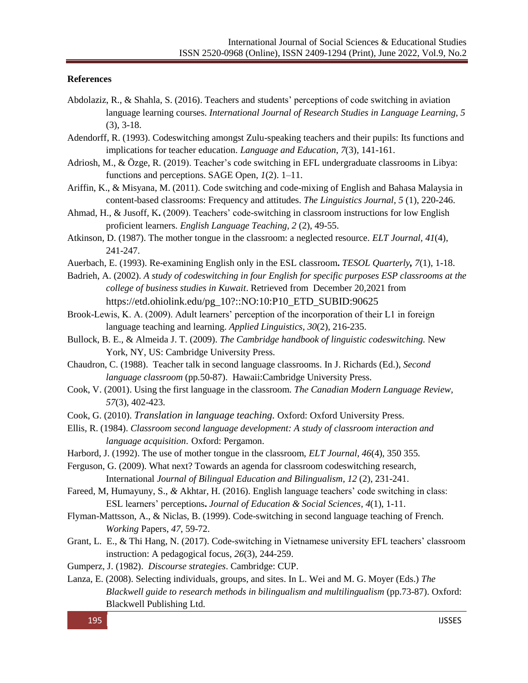#### **References**

- Abdolaziz, R., & Shahla, S. (2016). Teachers and students' perceptions of code switching in aviation language learning courses. *International Journal of Research Studies in Language Learning, 5*  (3), 3-18.
- Adendorff, R. (1993). Codeswitching amongst Zulu-speaking teachers and their pupils: Its functions and implications for teacher education. *Language and Education*, *7*(3), 141-161.
- Adriosh, M., & Özge, R. (2019). Teacher's code switching in EFL undergraduate classrooms in Libya: functions and perceptions. SAGE Open, *1*(2). 1–11.
- Ariffin, K., & Misyana, M. (2011). Code switching and code-mixing of English and Bahasa Malaysia in content-based classrooms: Frequency and attitudes. *The Linguistics Journal*, *5* (1), 220-246.
- Ahmad, H., & Jusoff, K**.** (2009). Teachers' code-switching in classroom instructions for low English proficient learners. *English Language Teaching, 2* (2), 49-55.
- Atkinson, D. (1987). The mother tongue in the classroom: a neglected resource*. ELT Journal, 41*(4), 241-247.
- Auerbach, E. (1993). Re-examining English only in the ESL classroom**.** *TESOL Quarterly, 7*(1), 1-18.
- Badrieh, A. (2002). *A study of codeswitching in four English for specific purposes ESP classrooms at the college of business studies in Kuwait*. Retrieved from December 20,2021 from [https://etd.ohiolink.edu/pg\\_10?::NO:10:P10\\_ETD\\_SUBID:90625](https://etd.ohiolink.edu/pg_10?::NO:10:P10_ETD_SUBID:90625)
- Brook-Lewis, K. A. (2009). Adult learners' perception of the incorporation of their L1 in foreign language teaching and learning. *Applied Linguistics*, *30*(2), 216-235.
- Bullock, B. E., & Almeida J. T. (2009). *The Cambridge handbook of linguistic codeswitching.* New York, NY, US: Cambridge University Press.
- Chaudron, C. (1988). Teacher talk in second language classrooms. In J. Richards (Ed.), *Second language classroom* (pp*.*50-87). Hawaii:Cambridge University Press.
- Cook, V. (2001). Using the first language in the classroom. *The Canadian Modern Language Review, 57*(3), 402-423.
- Cook, G. (2010). *Translation in language teaching.* Oxford: Oxford University Press.
- Ellis, R. (1984). *Classroom second language development: A study of classroom interaction and language acquisition*. Oxford: Pergamon.
- Harbord, J. (1992). The use of mother tongue in the classroom, *ELT Journal, 46*(4), 350 355*.*
- Ferguson, G. (2009). What next? Towards an agenda for classroom codeswitching research,
	- International *Journal of Bilingual Education and Bilingualism, 12* (2), 231-241.
- Fareed, M*,* Humayuny, S., *&* Akhtar, H. (2016). English language teachers' code switching in class: ESL learners' perceptions**.** *Journal of Education & Social Sciences, 4*(1), 1-11.
- Flyman-Mattsson, A., & Niclas, B. (1999). Code-switching in second language teaching of French. *Working* Papers, *47*, 59-72.
- Grant, L. E., & Thi Hang, N. (2017). Code-switching in Vietnamese university EFL teachers' classroom instruction: A pedagogical focus*, 26*(3), 244-259.
- Gumperz, J. (1982). *Discourse strategies*. Cambridge: CUP.
- Lanza, E. (2008). Selecting individuals, groups, and sites. In L. Wei and M. G. Moyer (Eds.) *The Blackwell guide to research methods in bilingualism and multilingualism (pp.73-87). Oxford:* Blackwell Publishing Ltd.